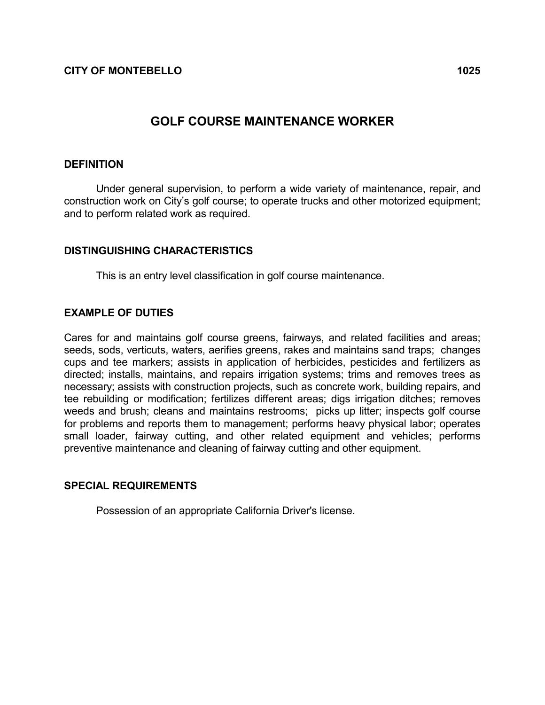# GOLF COURSE MAINTENANCE WORKER

#### DEFINITION

 Under general supervision, to perform a wide variety of maintenance, repair, and construction work on City's golf course; to operate trucks and other motorized equipment; and to perform related work as required.

### DISTINGUISHING CHARACTERISTICS

This is an entry level classification in golf course maintenance.

### EXAMPLE OF DUTIES

Cares for and maintains golf course greens, fairways, and related facilities and areas; seeds, sods, verticuts, waters, aerifies greens, rakes and maintains sand traps; changes cups and tee markers; assists in application of herbicides, pesticides and fertilizers as directed; installs, maintains, and repairs irrigation systems; trims and removes trees as necessary; assists with construction projects, such as concrete work, building repairs, and tee rebuilding or modification; fertilizes different areas; digs irrigation ditches; removes weeds and brush; cleans and maintains restrooms; picks up litter; inspects golf course for problems and reports them to management; performs heavy physical labor; operates small loader, fairway cutting, and other related equipment and vehicles; performs preventive maintenance and cleaning of fairway cutting and other equipment.

#### SPECIAL REQUIREMENTS

Possession of an appropriate California Driver's license.